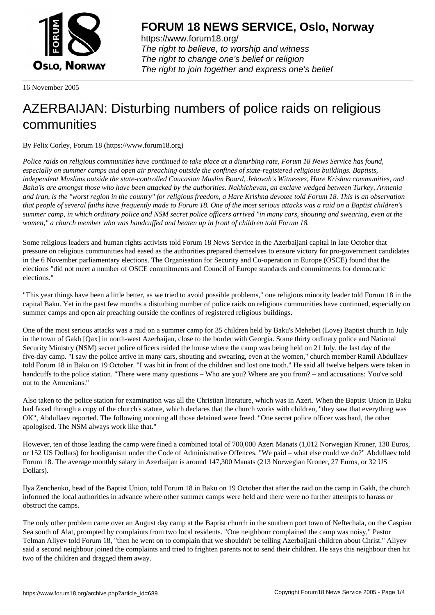

https://www.forum18.org/ The right to believe, to worship and witness The right to change one's belief or religion [The right to join together a](https://www.forum18.org/)nd express one's belief

16 November 2005

## [AZERBAIJAN: D](https://www.forum18.org)isturbing numbers of police raids on religious communities

By Felix Corley, Forum 18 (https://www.forum18.org)

*Police raids on religious communities have continued to take place at a disturbing rate, Forum 18 News Service has found, especially on summer camps and open air preaching outside the confines of state-registered religious buildings. Baptists, independent Muslims outside the state-controlled Caucasian Muslim Board, Jehovah's Witnesses, Hare Krishna communities, and Baha'is are amongst those who have been attacked by the authorities. Nakhichevan, an exclave wedged between Turkey, Armenia and Iran, is the "worst region in the country" for religious freedom, a Hare Krishna devotee told Forum 18. This is an observation that people of several faiths have frequently made to Forum 18. One of the most serious attacks was a raid on a Baptist children's summer camp, in which ordinary police and NSM secret police officers arrived "in many cars, shouting and swearing, even at the women," a church member who was handcuffed and beaten up in front of children told Forum 18.*

Some religious leaders and human rights activists told Forum 18 News Service in the Azerbaijani capital in late October that pressure on religious communities had eased as the authorities prepared themselves to ensure victory for pro-government candidates in the 6 November parliamentary elections. The Organisation for Security and Co-operation in Europe (OSCE) found that the elections "did not meet a number of OSCE commitments and Council of Europe standards and commitments for democratic elections."

"This year things have been a little better, as we tried to avoid possible problems," one religious minority leader told Forum 18 in the capital Baku. Yet in the past few months a disturbing number of police raids on religious communities have continued, especially on summer camps and open air preaching outside the confines of registered religious buildings.

One of the most serious attacks was a raid on a summer camp for 35 children held by Baku's Mehebet (Love) Baptist church in July in the town of Gakh [Qax] in north-west Azerbaijan, close to the border with Georgia. Some thirty ordinary police and National Security Ministry (NSM) secret police officers raided the house where the camp was being held on 21 July, the last day of the five-day camp. "I saw the police arrive in many cars, shouting and swearing, even at the women," church member Ramil Abdullaev told Forum 18 in Baku on 19 October. "I was hit in front of the children and lost one tooth." He said all twelve helpers were taken in handcuffs to the police station. "There were many questions – Who are you? Where are you from? – and accusations: You've sold out to the Armenians."

Also taken to the police station for examination was all the Christian literature, which was in Azeri. When the Baptist Union in Baku had faxed through a copy of the church's statute, which declares that the church works with children, "they saw that everything was OK", Abdullaev reported. The following morning all those detained were freed. "One secret police officer was hard, the other apologised. The NSM always work like that."

However, ten of those leading the camp were fined a combined total of 700,000 Azeri Manats (1,012 Norwegian Kroner, 130 Euros, or 152 US Dollars) for hooliganism under the Code of Administrative Offences. "We paid – what else could we do?" Abdullaev told Forum 18. The average monthly salary in Azerbaijan is around 147,300 Manats (213 Norwegian Kroner, 27 Euros, or 32 US Dollars).

Ilya Zenchenko, head of the Baptist Union, told Forum 18 in Baku on 19 October that after the raid on the camp in Gakh, the church informed the local authorities in advance where other summer camps were held and there were no further attempts to harass or obstruct the camps.

The only other problem came over an August day camp at the Baptist church in the southern port town of Neftechala, on the Caspian Sea south of Alat, prompted by complaints from two local residents. "One neighbour complained the camp was noisy," Pastor Telman Aliyev told Forum 18, "then he went on to complain that we shouldn't be telling Azerbaijani children about Christ." Aliyev said a second neighbour joined the complaints and tried to frighten parents not to send their children. He says this neighbour then hit two of the children and dragged them away.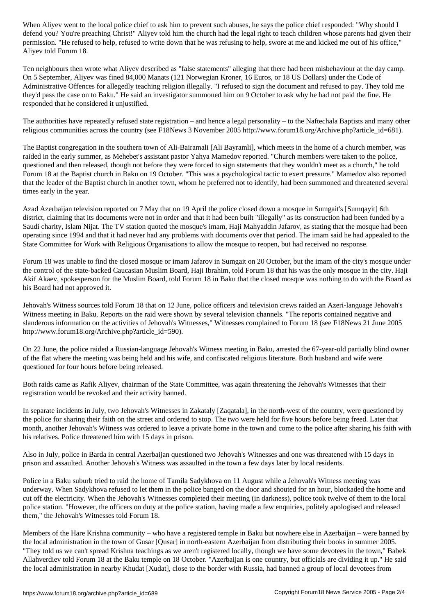defend your preaching to the church to teach to teach to teach to teach to teach children whose parents had gi permission. "He refused to help, refused to write down that he was refusing to help, swore at me and kicked me out of his office," Aliyev told Forum 18.

Ten neighbours then wrote what Aliyev described as "false statements" alleging that there had been misbehaviour at the day camp. On 5 September, Aliyev was fined 84,000 Manats (121 Norwegian Kroner, 16 Euros, or 18 US Dollars) under the Code of Administrative Offences for allegedly teaching religion illegally. "I refused to sign the document and refused to pay. They told me they'd pass the case on to Baku." He said an investigator summoned him on 9 October to ask why he had not paid the fine. He responded that he considered it unjustified.

The authorities have repeatedly refused state registration – and hence a legal personality – to the Naftechala Baptists and many other religious communities across the country (see F18News 3 November 2005 http://www.forum18.org/Archive.php?article\_id=681).

The Baptist congregation in the southern town of Ali-Bairamali [Ali Bayramli], which meets in the home of a church member, was raided in the early summer, as Mehebet's assistant pastor Yahya Mamedov reported. "Church members were taken to the police, questioned and then released, though not before they were forced to sign statements that they wouldn't meet as a church," he told Forum 18 at the Baptist church in Baku on 19 October. "This was a psychological tactic to exert pressure." Mamedov also reported that the leader of the Baptist church in another town, whom he preferred not to identify, had been summoned and threatened several times early in the year.

Azad Azerbaijan television reported on 7 May that on 19 April the police closed down a mosque in Sumgait's [Sumqayit] 6th district, claiming that its documents were not in order and that it had been built "illegally" as its construction had been funded by a Saudi charity, Islam Nijat. The TV station quoted the mosque's imam, Haji Mahyaddin Jafarov, as stating that the mosque had been operating since 1994 and that it had never had any problems with documents over that period. The imam said he had appealed to the State Committee for Work with Religious Organisations to allow the mosque to reopen, but had received no response.

Forum 18 was unable to find the closed mosque or imam Jafarov in Sumgait on 20 October, but the imam of the city's mosque under the control of the state-backed Caucasian Muslim Board, Haji Ibrahim, told Forum 18 that his was the only mosque in the city. Haji Akif Akaev, spokesperson for the Muslim Board, told Forum 18 in Baku that the closed mosque was nothing to do with the Board as his Board had not approved it.

Jehovah's Witness sources told Forum 18 that on 12 June, police officers and television crews raided an Azeri-language Jehovah's Witness meeting in Baku. Reports on the raid were shown by several television channels. "The reports contained negative and slanderous information on the activities of Jehovah's Witnesses," Witnesses complained to Forum 18 (see F18News 21 June 2005 http://www.forum18.org/Archive.php?article\_id=590).

On 22 June, the police raided a Russian-language Jehovah's Witness meeting in Baku, arrested the 67-year-old partially blind owner of the flat where the meeting was being held and his wife, and confiscated religious literature. Both husband and wife were questioned for four hours before being released.

Both raids came as Rafik Aliyev, chairman of the State Committee, was again threatening the Jehovah's Witnesses that their registration would be revoked and their activity banned.

In separate incidents in July, two Jehovah's Witnesses in Zakataly [Zaqatala], in the north-west of the country, were questioned by the police for sharing their faith on the street and ordered to stop. The two were held for five hours before being freed. Later that month, another Jehovah's Witness was ordered to leave a private home in the town and come to the police after sharing his faith with his relatives. Police threatened him with 15 days in prison.

Also in July, police in Barda in central Azerbaijan questioned two Jehovah's Witnesses and one was threatened with 15 days in prison and assaulted. Another Jehovah's Witness was assaulted in the town a few days later by local residents.

Police in a Baku suburb tried to raid the home of Tamila Sadykhova on 11 August while a Jehovah's Witness meeting was underway. When Sadykhova refused to let them in the police banged on the door and shouted for an hour, blockaded the home and cut off the electricity. When the Jehovah's Witnesses completed their meeting (in darkness), police took twelve of them to the local police station. "However, the officers on duty at the police station, having made a few enquiries, politely apologised and released them," the Jehovah's Witnesses told Forum 18.

Members of the Hare Krishna community – who have a registered temple in Baku but nowhere else in Azerbaijan – were banned by the local administration in the town of Gusar [Qusar] in north-eastern Azerbaijan from distributing their books in summer 2005. "They told us we can't spread Krishna teachings as we aren't registered locally, though we have some devotees in the town," Babek Allahverdiev told Forum 18 at the Baku temple on 18 October. "Azerbaijan is one country, but officials are dividing it up." He said the local administration in nearby Khudat [Xudat], close to the border with Russia, had banned a group of local devotees from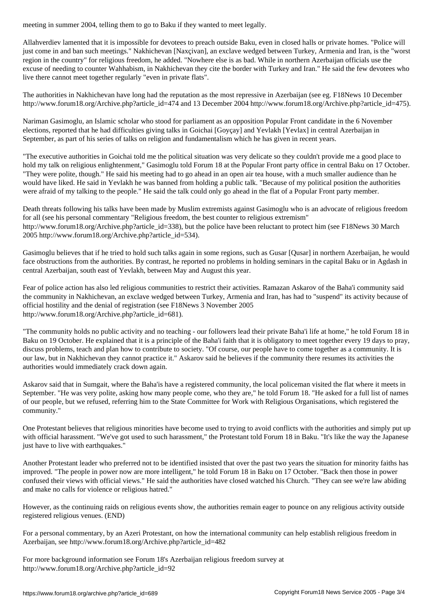Allahverdiev lamented that it is impossible for devotees to preach outside Baku, even in closed halls or private homes. "Police will just come in and ban such meetings." Nakhichevan [Naxçivan], an exclave wedged between Turkey, Armenia and Iran, is the "worst region in the country" for religious freedom, he added. "Nowhere else is as bad. While in northern Azerbaijan officials use the excuse of needing to counter Wahhabism, in Nakhichevan they cite the border with Turkey and Iran." He said the few devotees who live there cannot meet together regularly "even in private flats".

The authorities in Nakhichevan have long had the reputation as the most repressive in Azerbaijan (see eg. F18News 10 December http://www.forum18.org/Archive.php?article\_id=474 and 13 December 2004 http://www.forum18.org/Archive.php?article\_id=475).

Nariman Gasimoglu, an Islamic scholar who stood for parliament as an opposition Popular Front candidate in the 6 November elections, reported that he had difficulties giving talks in Goichai [Goyçay] and Yevlakh [Yevlax] in central Azerbaijan in September, as part of his series of talks on religion and fundamentalism which he has given in recent years.

"The executive authorities in Goichai told me the political situation was very delicate so they couldn't provide me a good place to hold my talk on religious enlightenment," Gasimoglu told Forum 18 at the Popular Front party office in central Baku on 17 October. "They were polite, though." He said his meeting had to go ahead in an open air tea house, with a much smaller audience than he would have liked. He said in Yevlakh he was banned from holding a public talk. "Because of my political position the authorities were afraid of my talking to the people." He said the talk could only go ahead in the flat of a Popular Front party member.

Death threats following his talks have been made by Muslim extremists against Gasimoglu who is an advocate of religious freedom for all (see his personal commentary "Religious freedom, the best counter to religious extremism" http://www.forum18.org/Archive.php?article\_id=338), but the police have been reluctant to protect him (see F18News 30 March 2005 http://www.forum18.org/Archive.php?article\_id=534).

Gasimoglu believes that if he tried to hold such talks again in some regions, such as Gusar [Qusar] in northern Azerbaijan, he would face obstructions from the authorities. By contrast, he reported no problems in holding seminars in the capital Baku or in Agdash in central Azerbaijan, south east of Yevlakh, between May and August this year.

Fear of police action has also led religious communities to restrict their activities. Ramazan Askarov of the Baha'i community said the community in Nakhichevan, an exclave wedged between Turkey, Armenia and Iran, has had to "suspend" its activity because of official hostility and the denial of registration (see F18News 3 November 2005 http://www.forum18.org/Archive.php?article\_id=681).

"The community holds no public activity and no teaching - our followers lead their private Baha'i life at home," he told Forum 18 in Baku on 19 October. He explained that it is a principle of the Baha'i faith that it is obligatory to meet together every 19 days to pray, discuss problems, teach and plan how to contribute to society. "Of course, our people have to come together as a community. It is our law, but in Nakhichevan they cannot practice it." Askarov said he believes if the community there resumes its activities the authorities would immediately crack down again.

Askarov said that in Sumgait, where the Baha'is have a registered community, the local policeman visited the flat where it meets in September. "He was very polite, asking how many people come, who they are," he told Forum 18. "He asked for a full list of names of our people, but we refused, referring him to the State Committee for Work with Religious Organisations, which registered the community."

One Protestant believes that religious minorities have become used to trying to avoid conflicts with the authorities and simply put up with official harassment. "We've got used to such harassment," the Protestant told Forum 18 in Baku. "It's like the way the Japanese just have to live with earthquakes."

Another Protestant leader who preferred not to be identified insisted that over the past two years the situation for minority faiths has improved. "The people in power now are more intelligent," he told Forum 18 in Baku on 17 October. "Back then those in power confused their views with official views." He said the authorities have closed watched his Church. "They can see we're law abiding and make no calls for violence or religious hatred."

However, as the continuing raids on religious events show, the authorities remain eager to pounce on any religious activity outside registered religious venues. (END)

For a personal commentary, by an Azeri Protestant, on how the international community can help establish religious freedom in Azerbaijan, see http://www.forum18.org/Archive.php?article\_id=482

For more background information see Forum 18's Azerbaijan religious freedom survey at http://www.forum18.org/Archive.php?article\_id=92